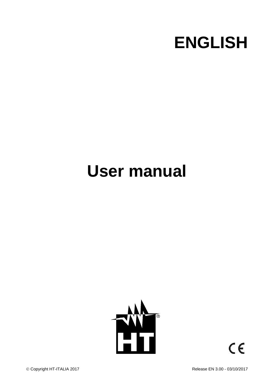

# **User manual**



 $\epsilon$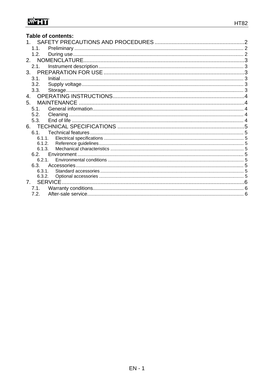| <b>Table of contents:</b>      |  |
|--------------------------------|--|
|                                |  |
| 1.1                            |  |
| 1.2.                           |  |
|                                |  |
| 2.1.                           |  |
| 3.                             |  |
| 3.1.                           |  |
| 3.2.                           |  |
| 3.3.                           |  |
| 4.                             |  |
| 5.                             |  |
| 5.1                            |  |
| 5.2.                           |  |
| 5.3.                           |  |
|                                |  |
| 61                             |  |
| 6.1.1.                         |  |
| 6.1.2.<br>6.1.3.               |  |
| 6.2                            |  |
| 6.2.1.                         |  |
| 6.3.                           |  |
| 6.3.1.                         |  |
| 6.3.2.                         |  |
| $7_{\scriptscriptstyle{\sim}}$ |  |
| 7.1.                           |  |
| 7.2.                           |  |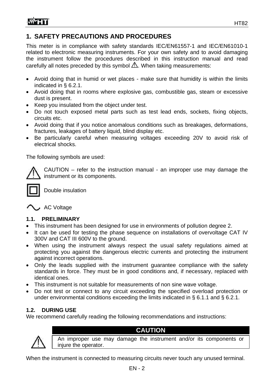# **1. SAFETY PRECAUTIONS AND PROCEDURES**

This meter is in compliance with safety standards IEC/EN61557-1 and IEC/EN61010-1 related to electronic measuring instruments. For your own safety and to avoid damaging the instrument follow the procedures described in this instruction manual and read carefully all notes preceded by this symbol  $\triangle$ . When taking measurements:

- Avoid doing that in humid or wet places make sure that humidity is within the limits indicated in § 6.2.1.
- Avoid doing that in rooms where explosive gas, combustible gas, steam or excessive dust is present.
- Keep you insulated from the object under test.
- Do not touch exposed metal parts such as test lead ends, sockets, fixing objects, circuits etc.
- Avoid doing that if you notice anomalous conditions such as breakages, deformations, fractures, leakages of battery liquid, blind display etc.
- Be particularly careful when measuring voltages exceeding 20V to avoid risk of electrical shocks.

The following symbols are used:

CAUTION – refer to the instruction manual - an improper use may damage the instrument or its components.



Double insulation

AC Voltage

## **1.1. PRELIMINARY**

- This instrument has been designed for use in environments of pollution degree 2.
- It can be used for testing the phase sequence on installations of overvoltage CAT IV 300V and CAT III 600V to the ground.
- When using the instrument always respect the usual safety regulations aimed at protecting you against the dangerous electric currents and protecting the instrument against incorrect operations.
- Only the leads supplied with the instrument guarantee compliance with the safety standards in force. They must be in good conditions and, if necessary, replaced with identical ones.
- This instrument is not suitable for measurements of non sine wave voltage.
- Do not test or connect to any circuit exceeding the specified overload protection or under environmental conditions exceeding the limits indicated in § 6.1.1 and § 6.2.1.

# **1.2. DURING USE**

We recommend carefully reading the following recommendations and instructions:



# **CAUTION**

An improper use may damage the instrument and/or its components or injure the operator.

When the instrument is connected to measuring circuits never touch any unused terminal.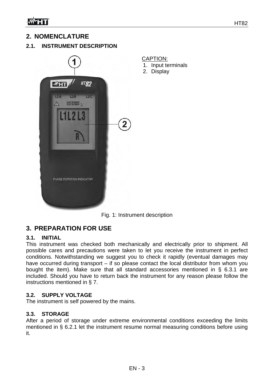# **2. NOMENCLATURE**

## **2.1. INSTRUMENT DESCRIPTION**



Fig. 1: Instrument description

CAPTION:

2. Display

1. Input terminals

# **3. PREPARATION FOR USE**

#### **3.1. INITIAL**

This instrument was checked both mechanically and electrically prior to shipment. All possible cares and precautions were taken to let you receive the instrument in perfect conditions. Notwithstanding we suggest you to check it rapidly (eventual damages may have occurred during transport – if so please contact the local distributor from whom you bought the item). Make sure that all standard accessories mentioned in § 6.3.1 are included. Should you have to return back the instrument for any reason please follow the instructions mentioned in § 7.

#### **3.2. SUPPLY VOLTAGE**

The instrument is self powered by the mains.

#### **3.3. STORAGE**

After a period of storage under extreme environmental conditions exceeding the limits mentioned in § 6.2.1 let the instrument resume normal measuring conditions before using it.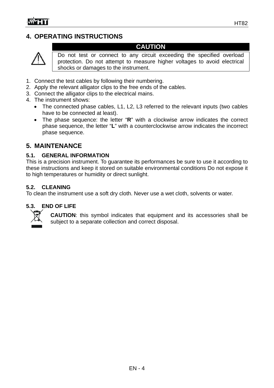# **4. OPERATING INSTRUCTIONS**



Do not test or connect to any circuit exceeding the specified overload protection. Do not attempt to measure higher voltages to avoid electrical shocks or damages to the instrument.

**CAUTION** 

- 1. Connect the test cables by following their numbering.
- 2. Apply the relevant alligator clips to the free ends of the cables.
- 3. Connect the alligator clips to the electrical mains.
- 4. The instrument shows:
	- The connected phase cables, L1, L2, L3 referred to the relevant inputs (two cables have to be connected at least).
	- The phase sequence: the letter "**R**" with a clockwise arrow indicates the correct phase sequence, the letter "**L**" with a counterclockwise arrow indicates the incorrect phase sequence.

# **5. MAINTENANCE**

## **5.1. GENERAL INFORMATION**

This is a precision instrument. To guarantee its performances be sure to use it according to these instructions and keep it stored on suitable environmental conditions Do not expose it to high temperatures or humidity or direct sunlight.

#### **5.2. CLEANING**

To clean the instrument use a soft dry cloth. Never use a wet cloth, solvents or water.

## **5.3. END OF LIFE**



**CAUTION**: this symbol indicates that equipment and its accessories shall be subject to a separate collection and correct disposal.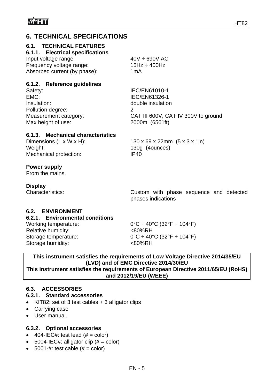# **6. TECHNICAL SPECIFICATIONS**

## **6.1. TECHNICAL FEATURES**

#### **6.1.1. Electrical specifications**

| Input voltage range:         | $40V \div 690V$ AC |
|------------------------------|--------------------|
| Frequency voltage range:     | 15Hz $\div$ 400Hz  |
| Absorbed current (by phase): | 1mA                |

#### **6.1.2. Reference guidelines**

| Safety:               | IEC/EN61010-1                       |
|-----------------------|-------------------------------------|
| EMC:                  | IEC/EN61326-1                       |
| Insulation:           | double insulation                   |
| Pollution degree:     |                                     |
| Measurement category: | CAT III 600V, CAT IV 300V to ground |
| Max height of use:    | 2000m (6561ft)                      |

#### **6.1.3. Mechanical characteristics**

Dimensions (L x W x H): 130 x 69 x 22mm (5 x 3 x 1in) Weight: 130g (4ounces) Mechanical protection: IP40

**Power supply** 

From the mains.

#### **Display**

Characteristics: Custom with phase sequence and detected phases indications

## **6.2. ENVIRONMENT**

#### **6.2.1. Environmental conditions**

Relative humidity:  $\leq 80\%RH$ Storage temperature:  $0^{\circ}C \div 40^{\circ}C$  (32°F  $\div 104^{\circ}F$ ) Storage humidity:  $<80\%RH$ 

Working temperature:  $0^{\circ}C \div 40^{\circ}C$  (32°F  $\div 104^{\circ}F$ )

#### **This instrument satisfies the requirements of Low Voltage Directive 2014/35/EU (LVD) and of EMC Directive 2014/30/EU This instrument satisfies the requirements of European Directive 2011/65/EU (RoHS) and 2012/19/EU (WEEE)**

## **6.3. ACCESSORIES**

## **6.3.1. Standard accessories**

- KIT82: set of 3 test cables + 3 alligator clips
- Carrying case
- User manual.

#### **6.3.2. Optional accessories**

- $\bullet$  404-IEC#: test lead (# = color)
- 5004-IEC#: alligator clip  $(# = color)$
- $\bullet$  5001-#: test cable (# = color)